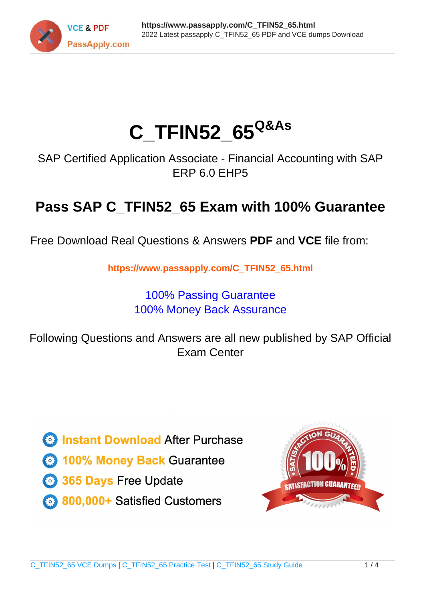

# **C\_TFIN52\_65Q&As**

SAP Certified Application Associate - Financial Accounting with SAP ERP 6.0 EHP5

## **Pass SAP C\_TFIN52\_65 Exam with 100% Guarantee**

Free Download Real Questions & Answers **PDF** and **VCE** file from:

**https://www.passapply.com/C\_TFIN52\_65.html**

### 100% Passing Guarantee 100% Money Back Assurance

Following Questions and Answers are all new published by SAP Official Exam Center

**Colonization** Download After Purchase

- **@ 100% Money Back Guarantee**
- **63 365 Days Free Update**
- 800,000+ Satisfied Customers

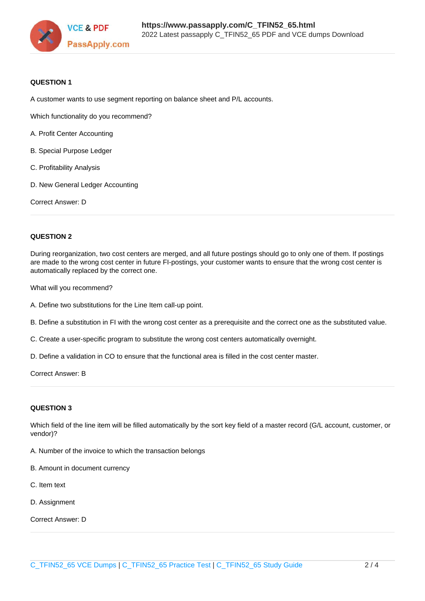

#### **QUESTION 1**

A customer wants to use segment reporting on balance sheet and P/L accounts.

Which functionality do you recommend?

- A. Profit Center Accounting
- B. Special Purpose Ledger
- C. Profitability Analysis
- D. New General Ledger Accounting

Correct Answer: D

#### **QUESTION 2**

During reorganization, two cost centers are merged, and all future postings should go to only one of them. If postings are made to the wrong cost center in future FI-postings, your customer wants to ensure that the wrong cost center is automatically replaced by the correct one.

What will you recommend?

- A. Define two substitutions for the Line Item call-up point.
- B. Define a substitution in FI with the wrong cost center as a prerequisite and the correct one as the substituted value.
- C. Create a user-specific program to substitute the wrong cost centers automatically overnight.
- D. Define a validation in CO to ensure that the functional area is filled in the cost center master.

Correct Answer: B

#### **QUESTION 3**

Which field of the line item will be filled automatically by the sort key field of a master record (G/L account, customer, or vendor)?

A. Number of the invoice to which the transaction belongs

- B. Amount in document currency
- C. Item text
- D. Assignment

Correct Answer: D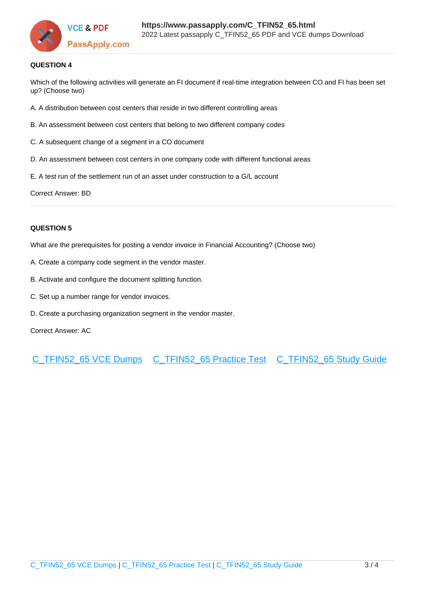

#### **QUESTION 4**

Which of the following activities will generate an FI document if real-time integration between CO and FI has been set up? (Choose two)

- A. A distribution between cost centers that reside in two different controlling areas
- B. An assessment between cost centers that belong to two different company codes
- C. A subsequent change of a segment in a CO document
- D. An assessment between cost centers in one company code with different functional areas
- E. A test run of the settlement run of an asset under construction to a G/L account

Correct Answer: BD

#### **QUESTION 5**

What are the prerequisites for posting a vendor invoice in Financial Accounting? (Choose two)

- A. Create a company code segment in the vendor master.
- B. Activate and configure the document splitting function.
- C. Set up a number range for vendor invoices.
- D. Create a purchasing organization segment in the vendor master.

Correct Answer: AC

[C\\_TFIN52\\_65 VCE Dumps](https://www.passapply.com/C_TFIN52_65.html) [C\\_TFIN52\\_65 Practice Test](https://www.passapply.com/C_TFIN52_65.html) [C\\_TFIN52\\_65 Study Guide](https://www.passapply.com/C_TFIN52_65.html)